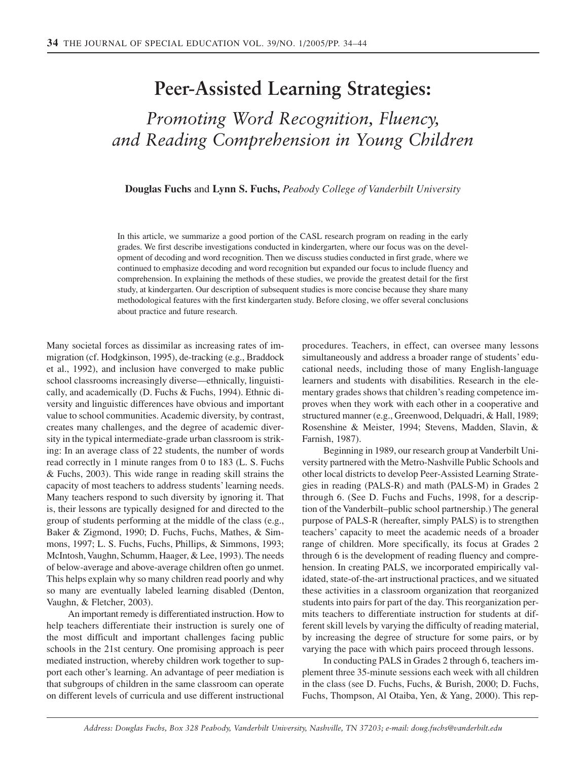# **Peer-Assisted Learning Strategies:**

## *Promoting Word Recognition, Fluency, and Reading Comprehension in Young Children*

**Douglas Fuchs** and **Lynn S. Fuchs,** *Peabody College of Vanderbilt University*

In this article, we summarize a good portion of the CASL research program on reading in the early grades. We first describe investigations conducted in kindergarten, where our focus was on the development of decoding and word recognition. Then we discuss studies conducted in first grade, where we continued to emphasize decoding and word recognition but expanded our focus to include fluency and comprehension. In explaining the methods of these studies, we provide the greatest detail for the first study, at kindergarten. Our description of subsequent studies is more concise because they share many methodological features with the first kindergarten study. Before closing, we offer several conclusions about practice and future research.

Many societal forces as dissimilar as increasing rates of immigration (cf. Hodgkinson, 1995), de-tracking (e.g., Braddock et al., 1992), and inclusion have converged to make public school classrooms increasingly diverse—ethnically, linguistically, and academically (D. Fuchs & Fuchs, 1994). Ethnic diversity and linguistic differences have obvious and important value to school communities. Academic diversity, by contrast, creates many challenges, and the degree of academic diversity in the typical intermediate-grade urban classroom is striking: In an average class of 22 students, the number of words read correctly in 1 minute ranges from 0 to 183 (L. S. Fuchs & Fuchs, 2003). This wide range in reading skill strains the capacity of most teachers to address students' learning needs. Many teachers respond to such diversity by ignoring it. That is, their lessons are typically designed for and directed to the group of students performing at the middle of the class (e.g., Baker & Zigmond, 1990; D. Fuchs, Fuchs, Mathes, & Simmons, 1997; L. S. Fuchs, Fuchs, Phillips, & Simmons, 1993; McIntosh, Vaughn, Schumm, Haager, & Lee, 1993). The needs of below-average and above-average children often go unmet. This helps explain why so many children read poorly and why so many are eventually labeled learning disabled (Denton, Vaughn, & Fletcher, 2003).

An important remedy is differentiated instruction. How to help teachers differentiate their instruction is surely one of the most difficult and important challenges facing public schools in the 21st century. One promising approach is peer mediated instruction, whereby children work together to support each other's learning. An advantage of peer mediation is that subgroups of children in the same classroom can operate on different levels of curricula and use different instructional procedures. Teachers, in effect, can oversee many lessons simultaneously and address a broader range of students' educational needs, including those of many English-language learners and students with disabilities. Research in the elementary grades shows that children's reading competence improves when they work with each other in a cooperative and structured manner (e.g., Greenwood, Delquadri, & Hall, 1989; Rosenshine & Meister, 1994; Stevens, Madden, Slavin, & Farnish, 1987).

Beginning in 1989, our research group at Vanderbilt University partnered with the Metro-Nashville Public Schools and other local districts to develop Peer-Assisted Learning Strategies in reading (PALS-R) and math (PALS-M) in Grades 2 through 6. (See D. Fuchs and Fuchs, 1998, for a description of the Vanderbilt–public school partnership.) The general purpose of PALS-R (hereafter, simply PALS) is to strengthen teachers' capacity to meet the academic needs of a broader range of children. More specifically, its focus at Grades 2 through 6 is the development of reading fluency and comprehension. In creating PALS, we incorporated empirically validated, state-of-the-art instructional practices, and we situated these activities in a classroom organization that reorganized students into pairs for part of the day. This reorganization permits teachers to differentiate instruction for students at different skill levels by varying the difficulty of reading material, by increasing the degree of structure for some pairs, or by varying the pace with which pairs proceed through lessons.

In conducting PALS in Grades 2 through 6, teachers implement three 35-minute sessions each week with all children in the class (see D. Fuchs, Fuchs, & Burish, 2000; D. Fuchs, Fuchs, Thompson, Al Otaiba, Yen, & Yang, 2000). This rep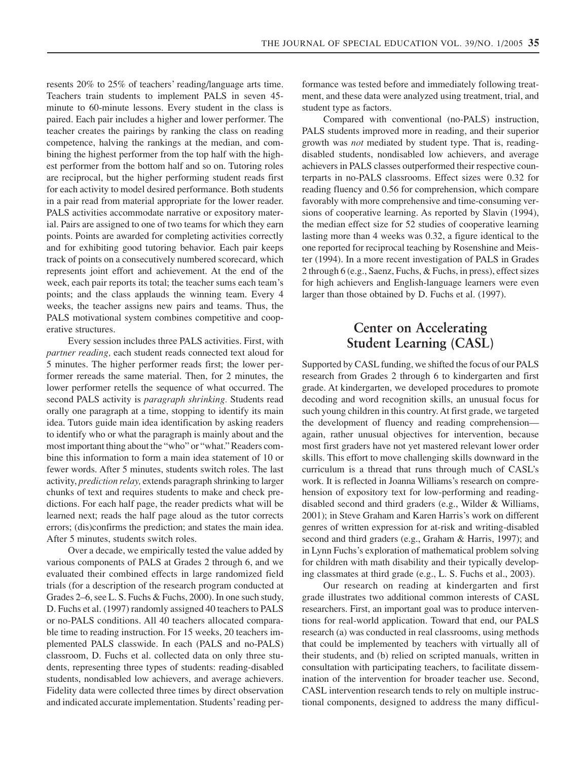resents 20% to 25% of teachers' reading/language arts time. Teachers train students to implement PALS in seven 45 minute to 60-minute lessons. Every student in the class is paired. Each pair includes a higher and lower performer. The teacher creates the pairings by ranking the class on reading competence, halving the rankings at the median, and combining the highest performer from the top half with the highest performer from the bottom half and so on. Tutoring roles are reciprocal, but the higher performing student reads first for each activity to model desired performance. Both students in a pair read from material appropriate for the lower reader. PALS activities accommodate narrative or expository material. Pairs are assigned to one of two teams for which they earn points. Points are awarded for completing activities correctly and for exhibiting good tutoring behavior. Each pair keeps track of points on a consecutively numbered scorecard, which represents joint effort and achievement. At the end of the week, each pair reports its total; the teacher sums each team's points; and the class applauds the winning team. Every 4 weeks, the teacher assigns new pairs and teams. Thus, the PALS motivational system combines competitive and cooperative structures.

Every session includes three PALS activities. First, with *partner reading,* each student reads connected text aloud for 5 minutes. The higher performer reads first; the lower performer rereads the same material. Then, for 2 minutes, the lower performer retells the sequence of what occurred. The second PALS activity is *paragraph shrinking.* Students read orally one paragraph at a time, stopping to identify its main idea. Tutors guide main idea identification by asking readers to identify who or what the paragraph is mainly about and the most important thing about the "who" or "what." Readers combine this information to form a main idea statement of 10 or fewer words. After 5 minutes, students switch roles. The last activity, *prediction relay,* extends paragraph shrinking to larger chunks of text and requires students to make and check predictions. For each half page, the reader predicts what will be learned next; reads the half page aloud as the tutor corrects errors; (dis)confirms the prediction; and states the main idea. After 5 minutes, students switch roles.

Over a decade, we empirically tested the value added by various components of PALS at Grades 2 through 6, and we evaluated their combined effects in large randomized field trials (for a description of the research program conducted at Grades 2–6, see L. S. Fuchs & Fuchs, 2000). In one such study, D. Fuchs et al. (1997) randomly assigned 40 teachers to PALS or no-PALS conditions. All 40 teachers allocated comparable time to reading instruction. For 15 weeks, 20 teachers implemented PALS classwide. In each (PALS and no-PALS) classroom, D. Fuchs et al. collected data on only three students, representing three types of students: reading-disabled students, nondisabled low achievers, and average achievers. Fidelity data were collected three times by direct observation and indicated accurate implementation. Students'reading performance was tested before and immediately following treatment, and these data were analyzed using treatment, trial, and student type as factors.

Compared with conventional (no-PALS) instruction, PALS students improved more in reading, and their superior growth was *not* mediated by student type. That is, readingdisabled students, nondisabled low achievers, and average achievers in PALS classes outperformed their respective counterparts in no-PALS classrooms. Effect sizes were 0.32 for reading fluency and 0.56 for comprehension, which compare favorably with more comprehensive and time-consuming versions of cooperative learning. As reported by Slavin (1994), the median effect size for 52 studies of cooperative learning lasting more than 4 weeks was 0.32, a figure identical to the one reported for reciprocal teaching by Rosenshine and Meister (1994). In a more recent investigation of PALS in Grades 2 through 6 (e.g., Saenz, Fuchs, & Fuchs, in press), effect sizes for high achievers and English-language learners were even larger than those obtained by D. Fuchs et al. (1997).

### **Center on Accelerating Student Learning (CASL)**

Supported by CASL funding, we shifted the focus of our PALS research from Grades 2 through 6 to kindergarten and first grade. At kindergarten, we developed procedures to promote decoding and word recognition skills, an unusual focus for such young children in this country. At first grade, we targeted the development of fluency and reading comprehension again, rather unusual objectives for intervention, because most first graders have not yet mastered relevant lower order skills. This effort to move challenging skills downward in the curriculum is a thread that runs through much of CASL's work. It is reflected in Joanna Williams's research on comprehension of expository text for low-performing and readingdisabled second and third graders (e.g., Wilder & Williams, 2001); in Steve Graham and Karen Harris's work on different genres of written expression for at-risk and writing-disabled second and third graders (e.g., Graham & Harris, 1997); and in Lynn Fuchs's exploration of mathematical problem solving for children with math disability and their typically developing classmates at third grade (e.g., L. S. Fuchs et al., 2003).

Our research on reading at kindergarten and first grade illustrates two additional common interests of CASL researchers. First, an important goal was to produce interventions for real-world application. Toward that end, our PALS research (a) was conducted in real classrooms, using methods that could be implemented by teachers with virtually all of their students, and (b) relied on scripted manuals, written in consultation with participating teachers, to facilitate dissemination of the intervention for broader teacher use. Second, CASL intervention research tends to rely on multiple instructional components, designed to address the many difficul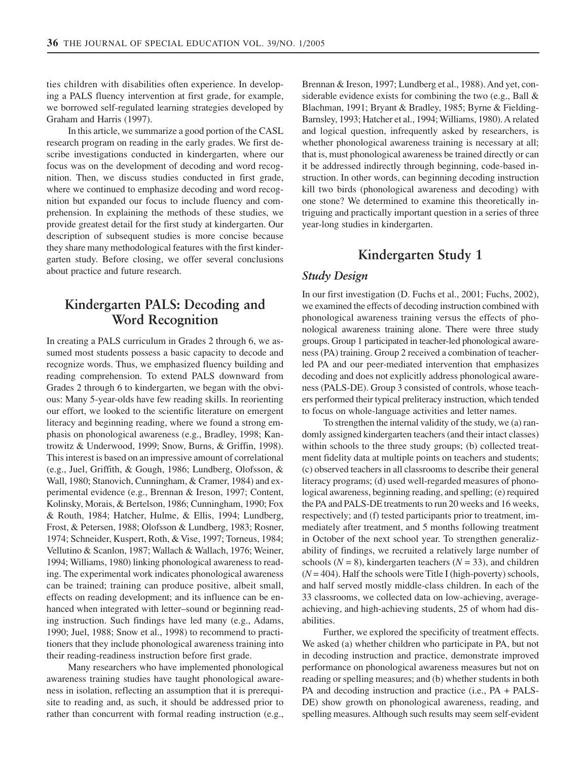ties children with disabilities often experience. In developing a PALS fluency intervention at first grade, for example, we borrowed self-regulated learning strategies developed by Graham and Harris (1997).

In this article, we summarize a good portion of the CASL research program on reading in the early grades. We first describe investigations conducted in kindergarten, where our focus was on the development of decoding and word recognition. Then, we discuss studies conducted in first grade, where we continued to emphasize decoding and word recognition but expanded our focus to include fluency and comprehension. In explaining the methods of these studies, we provide greatest detail for the first study at kindergarten. Our description of subsequent studies is more concise because they share many methodological features with the first kindergarten study. Before closing, we offer several conclusions about practice and future research.

### **Kindergarten PALS: Decoding and Word Recognition**

In creating a PALS curriculum in Grades 2 through 6, we assumed most students possess a basic capacity to decode and recognize words. Thus, we emphasized fluency building and reading comprehension. To extend PALS downward from Grades 2 through 6 to kindergarten, we began with the obvious: Many 5-year-olds have few reading skills. In reorienting our effort, we looked to the scientific literature on emergent literacy and beginning reading, where we found a strong emphasis on phonological awareness (e.g., Bradley, 1998; Kantrowitz & Underwood, 1999; Snow, Burns, & Griffin, 1998). This interest is based on an impressive amount of correlational (e.g., Juel, Griffith, & Gough, 1986; Lundberg, Olofsson, & Wall, 1980; Stanovich, Cunningham, & Cramer, 1984) and experimental evidence (e.g., Brennan & Ireson, 1997; Content, Kolinsky, Morais, & Bertelson, 1986; Cunningham, 1990; Fox & Routh, 1984; Hatcher, Hulme, & Ellis, 1994; Lundberg, Frost, & Petersen, 1988; Olofsson & Lundberg, 1983; Rosner, 1974; Schneider, Kuspert, Roth, & Vise, 1997; Torneus, 1984; Vellutino & Scanlon, 1987; Wallach & Wallach, 1976; Weiner, 1994; Williams, 1980) linking phonological awareness to reading. The experimental work indicates phonological awareness can be trained; training can produce positive, albeit small, effects on reading development; and its influence can be enhanced when integrated with letter–sound or beginning reading instruction. Such findings have led many (e.g., Adams, 1990; Juel, 1988; Snow et al., 1998) to recommend to practitioners that they include phonological awareness training into their reading-readiness instruction before first grade.

Many researchers who have implemented phonological awareness training studies have taught phonological awareness in isolation, reflecting an assumption that it is prerequisite to reading and, as such, it should be addressed prior to rather than concurrent with formal reading instruction (e.g.,

Brennan & Ireson, 1997; Lundberg et al., 1988). And yet, considerable evidence exists for combining the two (e.g., Ball & Blachman, 1991; Bryant & Bradley, 1985; Byrne & Fielding-Barnsley, 1993; Hatcher et al., 1994; Williams, 1980). A related and logical question, infrequently asked by researchers, is whether phonological awareness training is necessary at all; that is, must phonological awareness be trained directly or can it be addressed indirectly through beginning, code-based instruction. In other words, can beginning decoding instruction kill two birds (phonological awareness and decoding) with one stone? We determined to examine this theoretically intriguing and practically important question in a series of three year-long studies in kindergarten.

### **Kindergarten Study 1**

#### *Study Design*

In our first investigation (D. Fuchs et al., 2001; Fuchs, 2002), we examined the effects of decoding instruction combined with phonological awareness training versus the effects of phonological awareness training alone. There were three study groups. Group 1 participated in teacher-led phonological awareness (PA) training. Group 2 received a combination of teacherled PA and our peer-mediated intervention that emphasizes decoding and does not explicitly address phonological awareness (PALS-DE). Group 3 consisted of controls, whose teachers performed their typical preliteracy instruction, which tended to focus on whole-language activities and letter names.

To strengthen the internal validity of the study, we (a) randomly assigned kindergarten teachers (and their intact classes) within schools to the three study groups; (b) collected treatment fidelity data at multiple points on teachers and students; (c) observed teachers in all classrooms to describe their general literacy programs; (d) used well-regarded measures of phonological awareness, beginning reading, and spelling; (e) required the PA and PALS-DE treatments to run 20 weeks and 16 weeks, respectively; and (f) tested participants prior to treatment, immediately after treatment, and 5 months following treatment in October of the next school year. To strengthen generalizability of findings, we recruited a relatively large number of schools  $(N = 8)$ , kindergarten teachers  $(N = 33)$ , and children  $(N = 404)$ . Half the schools were Title I (high-poverty) schools, and half served mostly middle-class children. In each of the 33 classrooms, we collected data on low-achieving, averageachieving, and high-achieving students, 25 of whom had disabilities.

Further, we explored the specificity of treatment effects. We asked (a) whether children who participate in PA, but not in decoding instruction and practice, demonstrate improved performance on phonological awareness measures but not on reading or spelling measures; and (b) whether students in both PA and decoding instruction and practice (i.e., PA + PALS-DE) show growth on phonological awareness, reading, and spelling measures. Although such results may seem self-evident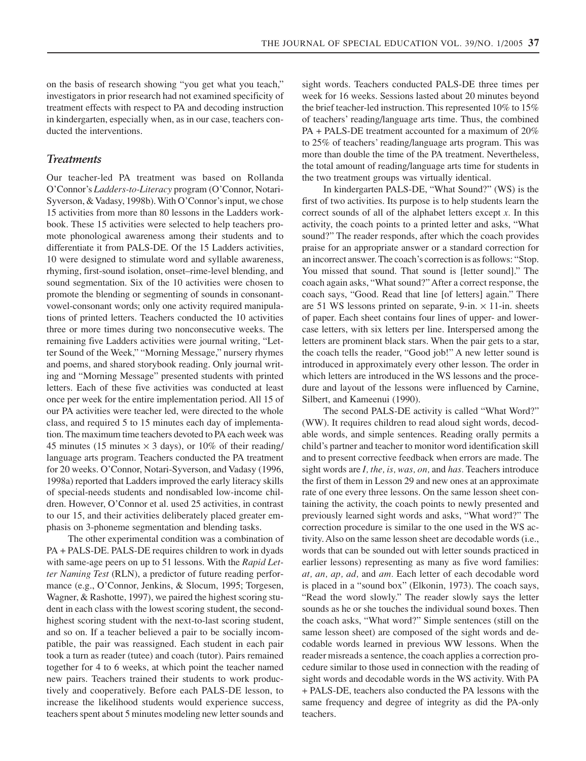on the basis of research showing "you get what you teach," investigators in prior research had not examined specificity of treatment effects with respect to PA and decoding instruction in kindergarten, especially when, as in our case, teachers conducted the interventions.

#### *Treatments*

Our teacher-led PA treatment was based on Rollanda O'Connor's *Ladders-to-Literacy* program (O'Connor, Notari-Syverson, & Vadasy, 1998b). With O'Connor's input, we chose 15 activities from more than 80 lessons in the Ladders workbook. These 15 activities were selected to help teachers promote phonological awareness among their students and to differentiate it from PALS-DE. Of the 15 Ladders activities, 10 were designed to stimulate word and syllable awareness, rhyming, first-sound isolation, onset–rime-level blending, and sound segmentation. Six of the 10 activities were chosen to promote the blending or segmenting of sounds in consonantvowel-consonant words; only one activity required manipulations of printed letters. Teachers conducted the 10 activities three or more times during two nonconsecutive weeks. The remaining five Ladders activities were journal writing, "Letter Sound of the Week," "Morning Message," nursery rhymes and poems, and shared storybook reading. Only journal writing and "Morning Message" presented students with printed letters. Each of these five activities was conducted at least once per week for the entire implementation period. All 15 of our PA activities were teacher led, were directed to the whole class, and required 5 to 15 minutes each day of implementation. The maximum time teachers devoted to PA each week was 45 minutes (15 minutes  $\times$  3 days), or 10% of their reading/ language arts program. Teachers conducted the PA treatment for 20 weeks. O'Connor, Notari-Syverson, and Vadasy (1996, 1998a) reported that Ladders improved the early literacy skills of special-needs students and nondisabled low-income children. However, O'Connor et al. used 25 activities, in contrast to our 15, and their activities deliberately placed greater emphasis on 3-phoneme segmentation and blending tasks.

The other experimental condition was a combination of PA + PALS-DE. PALS-DE requires children to work in dyads with same-age peers on up to 51 lessons. With the *Rapid Letter Naming Test* (RLN), a predictor of future reading performance (e.g., O'Connor, Jenkins, & Slocum, 1995; Torgesen, Wagner, & Rashotte, 1997), we paired the highest scoring student in each class with the lowest scoring student, the secondhighest scoring student with the next-to-last scoring student, and so on. If a teacher believed a pair to be socially incompatible, the pair was reassigned. Each student in each pair took a turn as reader (tutee) and coach (tutor). Pairs remained together for 4 to 6 weeks, at which point the teacher named new pairs. Teachers trained their students to work productively and cooperatively. Before each PALS-DE lesson, to increase the likelihood students would experience success, teachers spent about 5 minutes modeling new letter sounds and

sight words. Teachers conducted PALS-DE three times per week for 16 weeks. Sessions lasted about 20 minutes beyond the brief teacher-led instruction. This represented 10% to 15% of teachers' reading/language arts time. Thus, the combined PA + PALS-DE treatment accounted for a maximum of 20% to 25% of teachers' reading/language arts program. This was more than double the time of the PA treatment. Nevertheless, the total amount of reading/language arts time for students in the two treatment groups was virtually identical.

In kindergarten PALS-DE, "What Sound?" (WS) is the first of two activities. Its purpose is to help students learn the correct sounds of all of the alphabet letters except *x.* In this activity, the coach points to a printed letter and asks, "What sound?" The reader responds, after which the coach provides praise for an appropriate answer or a standard correction for an incorrect answer. The coach's correction is as follows: "Stop. You missed that sound. That sound is [letter sound]." The coach again asks, "What sound?" After a correct response, the coach says, "Good. Read that line [of letters] again." There are 51 WS lessons printed on separate,  $9\text{-in.} \times 11\text{-in.}$  sheets of paper. Each sheet contains four lines of upper- and lowercase letters, with six letters per line. Interspersed among the letters are prominent black stars. When the pair gets to a star, the coach tells the reader, "Good job!" A new letter sound is introduced in approximately every other lesson. The order in which letters are introduced in the WS lessons and the procedure and layout of the lessons were influenced by Carnine, Silbert, and Kameenui (1990).

The second PALS-DE activity is called "What Word?" (WW). It requires children to read aloud sight words, decodable words, and simple sentences. Reading orally permits a child's partner and teacher to monitor word identification skill and to present corrective feedback when errors are made. The sight words are *I, the, is, was, on,* and *has.* Teachers introduce the first of them in Lesson 29 and new ones at an approximate rate of one every three lessons. On the same lesson sheet containing the activity, the coach points to newly presented and previously learned sight words and asks, "What word?" The correction procedure is similar to the one used in the WS activity. Also on the same lesson sheet are decodable words (i.e., words that can be sounded out with letter sounds practiced in earlier lessons) representing as many as five word families: *at, an, ap, ad,* and *am.* Each letter of each decodable word is placed in a "sound box" (Elkonin, 1973). The coach says, "Read the word slowly." The reader slowly says the letter sounds as he or she touches the individual sound boxes. Then the coach asks, "What word?" Simple sentences (still on the same lesson sheet) are composed of the sight words and decodable words learned in previous WW lessons. When the reader misreads a sentence, the coach applies a correction procedure similar to those used in connection with the reading of sight words and decodable words in the WS activity. With PA + PALS-DE, teachers also conducted the PA lessons with the same frequency and degree of integrity as did the PA-only teachers.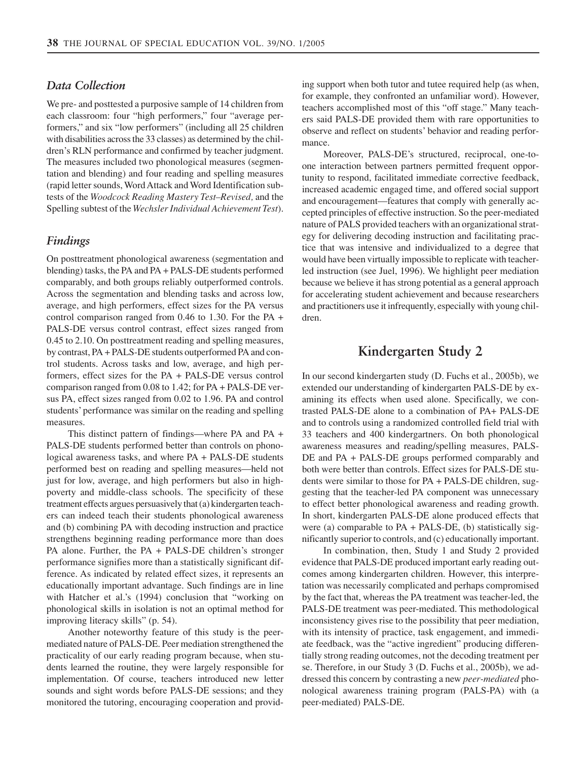### *Data Collection*

We pre- and posttested a purposive sample of 14 children from each classroom: four "high performers," four "average performers," and six "low performers" (including all 25 children with disabilities across the 33 classes) as determined by the children's RLN performance and confirmed by teacher judgment. The measures included two phonological measures (segmentation and blending) and four reading and spelling measures (rapid letter sounds, Word Attack and Word Identification subtests of the *Woodcock Reading Mastery Test–Revised,* and the Spelling subtest of the *Wechsler Individual Achievement Test*).

#### *Findings*

On posttreatment phonological awareness (segmentation and blending) tasks, the PA and PA + PALS-DE students performed comparably, and both groups reliably outperformed controls. Across the segmentation and blending tasks and across low, average, and high performers, effect sizes for the PA versus control comparison ranged from 0.46 to 1.30. For the PA + PALS-DE versus control contrast, effect sizes ranged from 0.45 to 2.10. On posttreatment reading and spelling measures, by contrast, PA + PALS-DE students outperformed PA and control students. Across tasks and low, average, and high performers, effect sizes for the PA + PALS-DE versus control comparison ranged from 0.08 to 1.42; for PA + PALS-DE versus PA, effect sizes ranged from 0.02 to 1.96. PA and control students' performance was similar on the reading and spelling measures.

This distinct pattern of findings—where PA and PA + PALS-DE students performed better than controls on phonological awareness tasks, and where PA + PALS-DE students performed best on reading and spelling measures—held not just for low, average, and high performers but also in highpoverty and middle-class schools. The specificity of these treatment effects argues persuasively that (a) kindergarten teachers can indeed teach their students phonological awareness and (b) combining PA with decoding instruction and practice strengthens beginning reading performance more than does PA alone. Further, the PA + PALS-DE children's stronger performance signifies more than a statistically significant difference. As indicated by related effect sizes, it represents an educationally important advantage. Such findings are in line with Hatcher et al.'s (1994) conclusion that "working on phonological skills in isolation is not an optimal method for improving literacy skills" (p. 54).

Another noteworthy feature of this study is the peermediated nature of PALS-DE. Peer mediation strengthened the practicality of our early reading program because, when students learned the routine, they were largely responsible for implementation. Of course, teachers introduced new letter sounds and sight words before PALS-DE sessions; and they monitored the tutoring, encouraging cooperation and provid-

ing support when both tutor and tutee required help (as when, for example, they confronted an unfamiliar word). However, teachers accomplished most of this "off stage." Many teachers said PALS-DE provided them with rare opportunities to observe and reflect on students' behavior and reading performance.

Moreover, PALS-DE's structured, reciprocal, one-toone interaction between partners permitted frequent opportunity to respond, facilitated immediate corrective feedback, increased academic engaged time, and offered social support and encouragement—features that comply with generally accepted principles of effective instruction. So the peer-mediated nature of PALS provided teachers with an organizational strategy for delivering decoding instruction and facilitating practice that was intensive and individualized to a degree that would have been virtually impossible to replicate with teacherled instruction (see Juel, 1996). We highlight peer mediation because we believe it has strong potential as a general approach for accelerating student achievement and because researchers and practitioners use it infrequently, especially with young children.

### **Kindergarten Study 2**

In our second kindergarten study (D. Fuchs et al., 2005b), we extended our understanding of kindergarten PALS-DE by examining its effects when used alone. Specifically, we contrasted PALS-DE alone to a combination of PA+ PALS-DE and to controls using a randomized controlled field trial with 33 teachers and 400 kindergartners. On both phonological awareness measures and reading/spelling measures, PALS-DE and PA + PALS-DE groups performed comparably and both were better than controls. Effect sizes for PALS-DE students were similar to those for PA + PALS-DE children, suggesting that the teacher-led PA component was unnecessary to effect better phonological awareness and reading growth. In short, kindergarten PALS-DE alone produced effects that were (a) comparable to PA + PALS-DE, (b) statistically significantly superior to controls, and (c) educationally important.

In combination, then, Study 1 and Study 2 provided evidence that PALS-DE produced important early reading outcomes among kindergarten children. However, this interpretation was necessarily complicated and perhaps compromised by the fact that, whereas the PA treatment was teacher-led, the PALS-DE treatment was peer-mediated. This methodological inconsistency gives rise to the possibility that peer mediation, with its intensity of practice, task engagement, and immediate feedback, was the "active ingredient" producing differentially strong reading outcomes, not the decoding treatment per se. Therefore, in our Study 3 (D. Fuchs et al., 2005b), we addressed this concern by contrasting a new *peer-mediated* phonological awareness training program (PALS-PA) with (a peer-mediated) PALS-DE.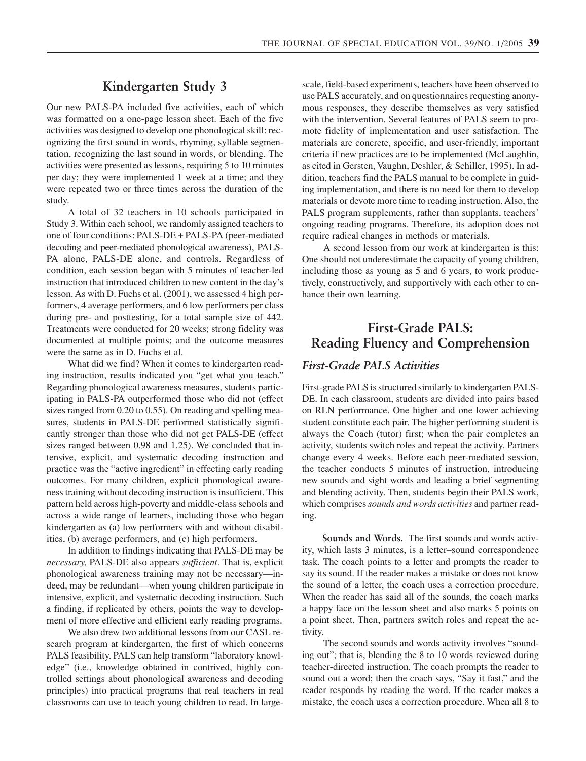### **Kindergarten Study 3**

Our new PALS-PA included five activities, each of which was formatted on a one-page lesson sheet. Each of the five activities was designed to develop one phonological skill: recognizing the first sound in words, rhyming, syllable segmentation, recognizing the last sound in words, or blending. The activities were presented as lessons, requiring 5 to 10 minutes per day; they were implemented 1 week at a time; and they were repeated two or three times across the duration of the study.

A total of 32 teachers in 10 schools participated in Study 3. Within each school, we randomly assigned teachers to one of four conditions: PALS-DE + PALS-PA (peer-mediated decoding and peer-mediated phonological awareness), PALS-PA alone, PALS-DE alone, and controls. Regardless of condition, each session began with 5 minutes of teacher-led instruction that introduced children to new content in the day's lesson. As with D. Fuchs et al. (2001), we assessed 4 high performers, 4 average performers, and 6 low performers per class during pre- and posttesting, for a total sample size of 442. Treatments were conducted for 20 weeks; strong fidelity was documented at multiple points; and the outcome measures were the same as in D. Fuchs et al.

What did we find? When it comes to kindergarten reading instruction, results indicated you "get what you teach." Regarding phonological awareness measures, students participating in PALS-PA outperformed those who did not (effect sizes ranged from 0.20 to 0.55). On reading and spelling measures, students in PALS-DE performed statistically significantly stronger than those who did not get PALS-DE (effect sizes ranged between 0.98 and 1.25). We concluded that intensive, explicit, and systematic decoding instruction and practice was the "active ingredient" in effecting early reading outcomes. For many children, explicit phonological awareness training without decoding instruction is insufficient. This pattern held across high-poverty and middle-class schools and across a wide range of learners, including those who began kindergarten as (a) low performers with and without disabilities, (b) average performers, and (c) high performers.

In addition to findings indicating that PALS-DE may be *necessary,* PALS-DE also appears *sufficient.* That is, explicit phonological awareness training may not be necessary—indeed, may be redundant—when young children participate in intensive, explicit, and systematic decoding instruction. Such a finding, if replicated by others, points the way to development of more effective and efficient early reading programs.

We also drew two additional lessons from our CASL research program at kindergarten, the first of which concerns PALS feasibility. PALS can help transform "laboratory knowledge" (i.e., knowledge obtained in contrived, highly controlled settings about phonological awareness and decoding principles) into practical programs that real teachers in real classrooms can use to teach young children to read. In large-

scale, field-based experiments, teachers have been observed to use PALS accurately, and on questionnaires requesting anonymous responses, they describe themselves as very satisfied with the intervention. Several features of PALS seem to promote fidelity of implementation and user satisfaction. The materials are concrete, specific, and user-friendly, important criteria if new practices are to be implemented (McLaughlin, as cited in Gersten, Vaughn, Deshler, & Schiller, 1995). In addition, teachers find the PALS manual to be complete in guiding implementation, and there is no need for them to develop materials or devote more time to reading instruction. Also, the PALS program supplements, rather than supplants, teachers' ongoing reading programs. Therefore, its adoption does not require radical changes in methods or materials.

A second lesson from our work at kindergarten is this: One should not underestimate the capacity of young children, including those as young as 5 and 6 years, to work productively, constructively, and supportively with each other to enhance their own learning.

## **First-Grade PALS: Reading Fluency and Comprehension**

### *First-Grade PALS Activities*

First-grade PALS is structured similarly to kindergarten PALS-DE. In each classroom, students are divided into pairs based on RLN performance. One higher and one lower achieving student constitute each pair. The higher performing student is always the Coach (tutor) first; when the pair completes an activity, students switch roles and repeat the activity. Partners change every 4 weeks. Before each peer-mediated session, the teacher conducts 5 minutes of instruction, introducing new sounds and sight words and leading a brief segmenting and blending activity. Then, students begin their PALS work, which comprises *sounds and words activities* and partner reading.

**Sounds and Words.** The first sounds and words activity, which lasts 3 minutes, is a letter–sound correspondence task. The coach points to a letter and prompts the reader to say its sound. If the reader makes a mistake or does not know the sound of a letter, the coach uses a correction procedure. When the reader has said all of the sounds, the coach marks a happy face on the lesson sheet and also marks 5 points on a point sheet. Then, partners switch roles and repeat the activity.

The second sounds and words activity involves "sounding out"; that is, blending the 8 to 10 words reviewed during teacher-directed instruction. The coach prompts the reader to sound out a word; then the coach says, "Say it fast," and the reader responds by reading the word. If the reader makes a mistake, the coach uses a correction procedure. When all 8 to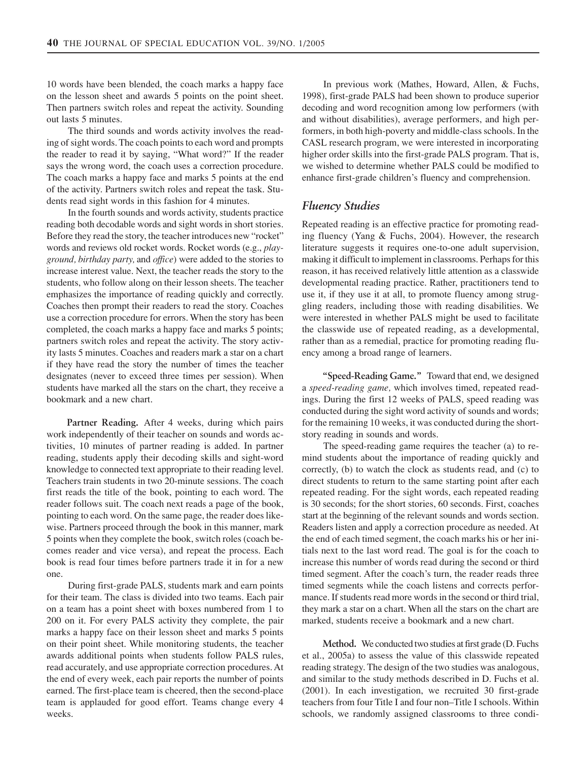10 words have been blended, the coach marks a happy face on the lesson sheet and awards 5 points on the point sheet. Then partners switch roles and repeat the activity. Sounding out lasts 5 minutes.

The third sounds and words activity involves the reading of sight words. The coach points to each word and prompts the reader to read it by saying, "What word?" If the reader says the wrong word, the coach uses a correction procedure. The coach marks a happy face and marks 5 points at the end of the activity. Partners switch roles and repeat the task. Students read sight words in this fashion for 4 minutes.

In the fourth sounds and words activity, students practice reading both decodable words and sight words in short stories. Before they read the story, the teacher introduces new "rocket" words and reviews old rocket words. Rocket words (e.g., *playground, birthday party,* and *office*) were added to the stories to increase interest value. Next, the teacher reads the story to the students, who follow along on their lesson sheets. The teacher emphasizes the importance of reading quickly and correctly. Coaches then prompt their readers to read the story. Coaches use a correction procedure for errors. When the story has been completed, the coach marks a happy face and marks 5 points; partners switch roles and repeat the activity. The story activity lasts 5 minutes. Coaches and readers mark a star on a chart if they have read the story the number of times the teacher designates (never to exceed three times per session). When students have marked all the stars on the chart, they receive a bookmark and a new chart.

Partner Reading. After 4 weeks, during which pairs work independently of their teacher on sounds and words activities, 10 minutes of partner reading is added. In partner reading, students apply their decoding skills and sight-word knowledge to connected text appropriate to their reading level. Teachers train students in two 20-minute sessions. The coach first reads the title of the book, pointing to each word. The reader follows suit. The coach next reads a page of the book, pointing to each word. On the same page, the reader does likewise. Partners proceed through the book in this manner, mark 5 points when they complete the book, switch roles (coach becomes reader and vice versa), and repeat the process. Each book is read four times before partners trade it in for a new one.

During first-grade PALS, students mark and earn points for their team. The class is divided into two teams. Each pair on a team has a point sheet with boxes numbered from 1 to 200 on it. For every PALS activity they complete, the pair marks a happy face on their lesson sheet and marks 5 points on their point sheet. While monitoring students, the teacher awards additional points when students follow PALS rules, read accurately, and use appropriate correction procedures. At the end of every week, each pair reports the number of points earned. The first-place team is cheered, then the second-place team is applauded for good effort. Teams change every 4 weeks.

In previous work (Mathes, Howard, Allen, & Fuchs, 1998), first-grade PALS had been shown to produce superior decoding and word recognition among low performers (with and without disabilities), average performers, and high performers, in both high-poverty and middle-class schools. In the CASL research program, we were interested in incorporating higher order skills into the first-grade PALS program. That is, we wished to determine whether PALS could be modified to enhance first-grade children's fluency and comprehension.

#### *Fluency Studies*

Repeated reading is an effective practice for promoting reading fluency (Yang & Fuchs, 2004). However, the research literature suggests it requires one-to-one adult supervision, making it difficult to implement in classrooms. Perhaps for this reason, it has received relatively little attention as a classwide developmental reading practice. Rather, practitioners tend to use it, if they use it at all, to promote fluency among struggling readers, including those with reading disabilities. We were interested in whether PALS might be used to facilitate the classwide use of repeated reading, as a developmental, rather than as a remedial, practice for promoting reading fluency among a broad range of learners.

**"Speed-Reading Game."** Toward that end, we designed a *speed-reading game,* which involves timed, repeated readings. During the first 12 weeks of PALS, speed reading was conducted during the sight word activity of sounds and words; for the remaining 10 weeks, it was conducted during the shortstory reading in sounds and words.

The speed-reading game requires the teacher (a) to remind students about the importance of reading quickly and correctly, (b) to watch the clock as students read, and (c) to direct students to return to the same starting point after each repeated reading. For the sight words, each repeated reading is 30 seconds; for the short stories, 60 seconds. First, coaches start at the beginning of the relevant sounds and words section. Readers listen and apply a correction procedure as needed. At the end of each timed segment, the coach marks his or her initials next to the last word read. The goal is for the coach to increase this number of words read during the second or third timed segment. After the coach's turn, the reader reads three timed segments while the coach listens and corrects performance. If students read more words in the second or third trial, they mark a star on a chart. When all the stars on the chart are marked, students receive a bookmark and a new chart.

**Method.** We conducted two studies at first grade (D. Fuchs et al., 2005a) to assess the value of this classwide repeated reading strategy. The design of the two studies was analogous, and similar to the study methods described in D. Fuchs et al. (2001). In each investigation, we recruited 30 first-grade teachers from four Title I and four non–Title I schools. Within schools, we randomly assigned classrooms to three condi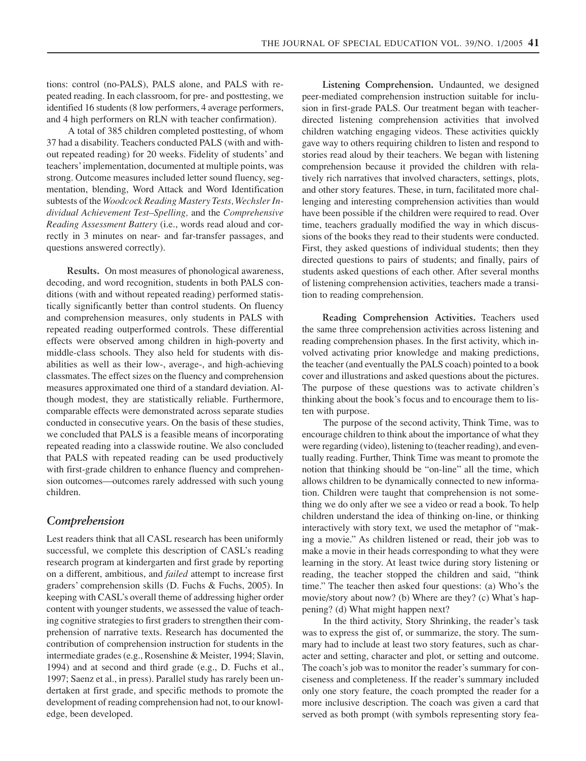tions: control (no-PALS), PALS alone, and PALS with repeated reading. In each classroom, for pre- and posttesting, we identified 16 students (8 low performers, 4 average performers, and 4 high performers on RLN with teacher confirmation).

A total of 385 children completed posttesting, of whom 37 had a disability. Teachers conducted PALS (with and without repeated reading) for 20 weeks. Fidelity of students' and teachers'implementation, documented at multiple points, was strong. Outcome measures included letter sound fluency, segmentation, blending, Word Attack and Word Identification subtests of the *Woodcock Reading Mastery Tests, Wechsler Individual Achievement Test–Spelling,* and the *Comprehensive Reading Assessment Battery* (i.e., words read aloud and correctly in 3 minutes on near- and far-transfer passages, and questions answered correctly).

**Results.** On most measures of phonological awareness, decoding, and word recognition, students in both PALS conditions (with and without repeated reading) performed statistically significantly better than control students. On fluency and comprehension measures, only students in PALS with repeated reading outperformed controls. These differential effects were observed among children in high-poverty and middle-class schools. They also held for students with disabilities as well as their low-, average-, and high-achieving classmates. The effect sizes on the fluency and comprehension measures approximated one third of a standard deviation. Although modest, they are statistically reliable. Furthermore, comparable effects were demonstrated across separate studies conducted in consecutive years. On the basis of these studies, we concluded that PALS is a feasible means of incorporating repeated reading into a classwide routine. We also concluded that PALS with repeated reading can be used productively with first-grade children to enhance fluency and comprehension outcomes—outcomes rarely addressed with such young children.

#### *Comprehension*

Lest readers think that all CASL research has been uniformly successful, we complete this description of CASL's reading research program at kindergarten and first grade by reporting on a different, ambitious, and *failed* attempt to increase first graders' comprehension skills (D. Fuchs & Fuchs, 2005). In keeping with CASL's overall theme of addressing higher order content with younger students, we assessed the value of teaching cognitive strategies to first graders to strengthen their comprehension of narrative texts. Research has documented the contribution of comprehension instruction for students in the intermediate grades (e.g., Rosenshine & Meister, 1994; Slavin, 1994) and at second and third grade (e.g., D. Fuchs et al., 1997; Saenz et al., in press). Parallel study has rarely been undertaken at first grade, and specific methods to promote the development of reading comprehension had not, to our knowledge, been developed.

**Listening Comprehension.** Undaunted, we designed peer-mediated comprehension instruction suitable for inclusion in first-grade PALS. Our treatment began with teacherdirected listening comprehension activities that involved children watching engaging videos. These activities quickly gave way to others requiring children to listen and respond to stories read aloud by their teachers. We began with listening comprehension because it provided the children with relatively rich narratives that involved characters, settings, plots, and other story features. These, in turn, facilitated more challenging and interesting comprehension activities than would have been possible if the children were required to read. Over time, teachers gradually modified the way in which discussions of the books they read to their students were conducted. First, they asked questions of individual students; then they directed questions to pairs of students; and finally, pairs of students asked questions of each other. After several months of listening comprehension activities, teachers made a transition to reading comprehension.

**Reading Comprehension Activities.** Teachers used the same three comprehension activities across listening and reading comprehension phases. In the first activity, which involved activating prior knowledge and making predictions, the teacher (and eventually the PALS coach) pointed to a book cover and illustrations and asked questions about the pictures. The purpose of these questions was to activate children's thinking about the book's focus and to encourage them to listen with purpose.

The purpose of the second activity, Think Time, was to encourage children to think about the importance of what they were regarding (video), listening to (teacher reading), and eventually reading. Further, Think Time was meant to promote the notion that thinking should be "on-line" all the time, which allows children to be dynamically connected to new information. Children were taught that comprehension is not something we do only after we see a video or read a book. To help children understand the idea of thinking on-line, or thinking interactively with story text, we used the metaphor of "making a movie." As children listened or read, their job was to make a movie in their heads corresponding to what they were learning in the story. At least twice during story listening or reading, the teacher stopped the children and said, "think time." The teacher then asked four questions: (a) Who's the movie/story about now? (b) Where are they? (c) What's happening? (d) What might happen next?

In the third activity, Story Shrinking, the reader's task was to express the gist of, or summarize, the story. The summary had to include at least two story features, such as character and setting, character and plot, or setting and outcome. The coach's job was to monitor the reader's summary for conciseness and completeness. If the reader's summary included only one story feature, the coach prompted the reader for a more inclusive description. The coach was given a card that served as both prompt (with symbols representing story fea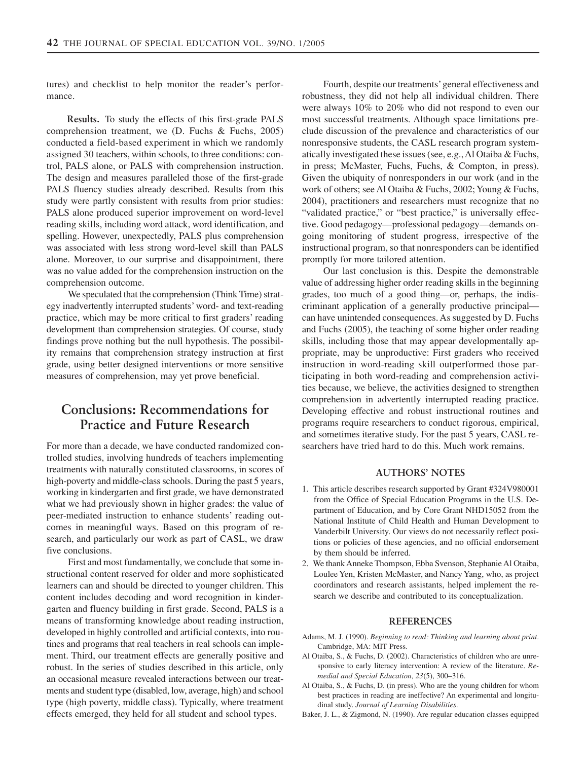tures) and checklist to help monitor the reader's performance.

**Results.** To study the effects of this first-grade PALS comprehension treatment, we (D. Fuchs & Fuchs, 2005) conducted a field-based experiment in which we randomly assigned 30 teachers, within schools, to three conditions: control, PALS alone, or PALS with comprehension instruction. The design and measures paralleled those of the first-grade PALS fluency studies already described. Results from this study were partly consistent with results from prior studies: PALS alone produced superior improvement on word-level reading skills, including word attack, word identification, and spelling. However, unexpectedly, PALS plus comprehension was associated with less strong word-level skill than PALS alone. Moreover, to our surprise and disappointment, there was no value added for the comprehension instruction on the comprehension outcome.

We speculated that the comprehension (Think Time) strategy inadvertently interrupted students' word- and text-reading practice, which may be more critical to first graders' reading development than comprehension strategies. Of course, study findings prove nothing but the null hypothesis. The possibility remains that comprehension strategy instruction at first grade, using better designed interventions or more sensitive measures of comprehension, may yet prove beneficial.

### **Conclusions: Recommendations for Practice and Future Research**

For more than a decade, we have conducted randomized controlled studies, involving hundreds of teachers implementing treatments with naturally constituted classrooms, in scores of high-poverty and middle-class schools. During the past 5 years, working in kindergarten and first grade, we have demonstrated what we had previously shown in higher grades: the value of peer-mediated instruction to enhance students' reading outcomes in meaningful ways. Based on this program of research, and particularly our work as part of CASL, we draw five conclusions.

First and most fundamentally, we conclude that some instructional content reserved for older and more sophisticated learners can and should be directed to younger children. This content includes decoding and word recognition in kindergarten and fluency building in first grade. Second, PALS is a means of transforming knowledge about reading instruction, developed in highly controlled and artificial contexts, into routines and programs that real teachers in real schools can implement. Third, our treatment effects are generally positive and robust. In the series of studies described in this article, only an occasional measure revealed interactions between our treatments and student type (disabled, low, average, high) and school type (high poverty, middle class). Typically, where treatment effects emerged, they held for all student and school types.

Fourth, despite our treatments'general effectiveness and robustness, they did not help all individual children. There were always 10% to 20% who did not respond to even our most successful treatments. Although space limitations preclude discussion of the prevalence and characteristics of our nonresponsive students, the CASL research program systematically investigated these issues (see, e.g., Al Otaiba & Fuchs, in press; McMaster, Fuchs, Fuchs, & Compton, in press). Given the ubiquity of nonresponders in our work (and in the work of others; see Al Otaiba & Fuchs, 2002; Young & Fuchs, 2004), practitioners and researchers must recognize that no "validated practice," or "best practice," is universally effective. Good pedagogy—professional pedagogy—demands ongoing monitoring of student progress, irrespective of the instructional program, so that nonresponders can be identified promptly for more tailored attention.

Our last conclusion is this. Despite the demonstrable value of addressing higher order reading skills in the beginning grades, too much of a good thing—or, perhaps, the indiscriminant application of a generally productive principal can have unintended consequences. As suggested by D. Fuchs and Fuchs (2005), the teaching of some higher order reading skills, including those that may appear developmentally appropriate, may be unproductive: First graders who received instruction in word-reading skill outperformed those participating in both word-reading and comprehension activities because, we believe, the activities designed to strengthen comprehension in advertently interrupted reading practice. Developing effective and robust instructional routines and programs require researchers to conduct rigorous, empirical, and sometimes iterative study. For the past 5 years, CASL researchers have tried hard to do this. Much work remains.

#### **AUTHORS' NOTES**

- 1. This article describes research supported by Grant #324V980001 from the Office of Special Education Programs in the U.S. Department of Education, and by Core Grant NHD15052 from the National Institute of Child Health and Human Development to Vanderbilt University. Our views do not necessarily reflect positions or policies of these agencies, and no official endorsement by them should be inferred.
- 2. We thank Anneke Thompson, Ebba Svenson, Stephanie Al Otaiba, Loulee Yen, Kristen McMaster, and Nancy Yang, who, as project coordinators and research assistants, helped implement the research we describe and contributed to its conceptualization.

#### **REFERENCES**

- Adams, M. J. (1990). *Beginning to read: Thinking and learning about print.* Cambridge, MA: MIT Press.
- Al Otaiba, S., & Fuchs, D. (2002). Characteristics of children who are unresponsive to early literacy intervention: A review of the literature. *Remedial and Special Education, 23*(5), 300–316.
- Al Otaiba, S., & Fuchs, D. (in press). Who are the young children for whom best practices in reading are ineffective? An experimental and longitudinal study. *Journal of Learning Disabilities.*
- Baker, J. L., & Zigmond, N. (1990). Are regular education classes equipped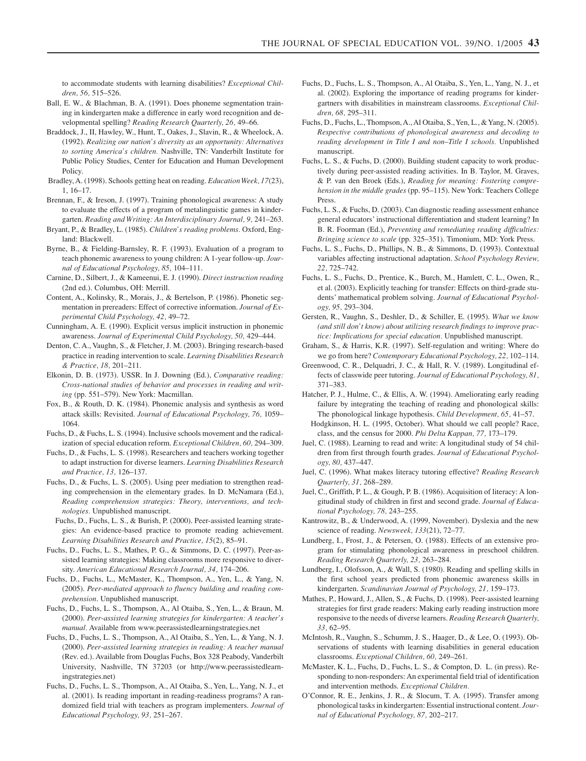to accommodate students with learning disabilities? *Exceptional Children, 56,* 515–526.

- Ball, E. W., & Blachman, B. A. (1991). Does phoneme segmentation training in kindergarten make a difference in early word recognition and developmental spelling? *Reading Research Quarterly, 26,* 49–66.
- Braddock, J., II, Hawley, W., Hunt, T., Oakes, J., Slavin, R., & Wheelock, A. (1992). *Realizing our nation's diversity as an opportunity: Alternatives to sorting America's children.* Nashville, TN: Vanderbilt Institute for Public Policy Studies, Center for Education and Human Development Policy.
- Bradley, A. (1998). Schools getting heat on reading. *Education Week, 17*(23), 1, 16–17.
- Brennan, F., & Ireson, J. (1997). Training phonological awareness: A study to evaluate the effects of a program of metalinguistic games in kindergarten. *Reading and Writing: An Interdisciplinary Journal, 9,* 241–263.
- Bryant, P., & Bradley, L. (1985). *Children's reading problems.* Oxford, England: Blackwell.
- Byrne, B., & Fielding-Barnsley, R. F. (1993). Evaluation of a program to teach phonemic awareness to young children: A 1-year follow-up. *Journal of Educational Psychology, 85,* 104–111.
- Carnine, D., Silbert, J., & Kameenui, E. J. (1990). *Direct instruction reading* (2nd ed.). Columbus, OH: Merrill.
- Content, A., Kolinsky, R., Morais, J., & Bertelson, P. (1986). Phonetic segmentation in prereaders: Effect of corrective information. *Journal of Experimental Child Psychology, 42,* 49–72.
- Cunningham, A. E. (1990). Explicit versus implicit instruction in phonemic awareness. *Journal of Experimental Child Psychology, 50,* 429–444.
- Denton, C. A., Vaughn, S., & Fletcher, J. M. (2003). Bringing research-based practice in reading intervention to scale. *Learning Disabilities Research & Practice, 18,* 201–211.
- Elkonin, D. B. (1973). USSR. In J. Downing (Ed.), *Comparative reading: Cross-national studies of behavior and processes in reading and writing* (pp. 551–579). New York: Macmillan.
- Fox, B., & Routh, D. K. (1984). Phonemic analysis and synthesis as word attack skills: Revisited. *Journal of Educational Psychology, 76,* 1059– 1064.
- Fuchs, D., & Fuchs, L. S. (1994). Inclusive schools movement and the radicalization of special education reform. *Exceptional Children, 60,* 294–309.
- Fuchs, D., & Fuchs, L. S. (1998). Researchers and teachers working together to adapt instruction for diverse learners. *Learning Disabilities Research and Practice, 13,* 126–137.
- Fuchs, D., & Fuchs, L. S. (2005). Using peer mediation to strengthen reading comprehension in the elementary grades. In D. McNamara (Ed.), *Reading comprehension strategies: Theory, interventions, and technologies.* Unpublished manuscript.
- Fuchs, D., Fuchs, L. S., & Burish, P. (2000). Peer-assisted learning strategies: An evidence-based practice to promote reading achievement. *Learning Disabilities Research and Practice, 15*(2), 85–91.
- Fuchs, D., Fuchs, L. S., Mathes, P. G., & Simmons, D. C. (1997). Peer-assisted learning strategies: Making classrooms more responsive to diversity. *American Educational Research Journal, 34,* 174–206.
- Fuchs, D., Fuchs, L., McMaster, K., Thompson, A., Yen, L., & Yang, N. (2005). *Peer-mediated approach to fluency building and reading comprehension*. Unpublished manuscript.
- Fuchs, D., Fuchs, L. S., Thompson, A., Al Otaiba, S., Yen, L., & Braun, M. (2000). *Peer-assisted learning strategies for kindergarten: A teacher's manual.* Available from www.peerassistedlearningstrategies.net
- Fuchs, D., Fuchs, L. S., Thompson, A., Al Otaiba, S., Yen, L., & Yang, N. J. (2000). *Peer-assisted learning strategies in reading: A teacher manual* (Rev. ed.). Available from Douglas Fuchs, Box 328 Peabody, Vanderbilt University, Nashville, TN 37203 (or http://www.peerassistedlearningstrategies.net)
- Fuchs, D., Fuchs, L. S., Thompson, A., Al Otaiba, S., Yen, L., Yang, N. J., et al. (2001). Is reading important in reading-readiness programs? A randomized field trial with teachers as program implementers. *Journal of Educational Psychology, 93,* 251–267.
- Fuchs, D., Fuchs, L. S., Thompson, A., Al Otaiba, S., Yen, L., Yang, N. J., et al. (2002). Exploring the importance of reading programs for kindergartners with disabilities in mainstream classrooms. *Exceptional Children, 68,* 295–311.
- Fuchs, D., Fuchs, L., Thompson, A., Al Otaiba, S.,Yen, L., & Yang, N. (2005). *Respective contributions of phonological awareness and decoding to reading development in Title I and non–Title I schools.* Unpublished manuscript.
- Fuchs, L. S., & Fuchs, D. (2000). Building student capacity to work productively during peer-assisted reading activities. In B. Taylor, M. Graves, & P. van den Broek (Eds.), *Reading for meaning: Fostering comprehension in the middle grades* (pp. 95–115). New York: Teachers College Press.
- Fuchs, L. S., & Fuchs, D. (2003). Can diagnostic reading assessment enhance general educators' instructional differentiation and student learning? In B. R. Foorman (Ed.), *Preventing and remediating reading difficulties: Bringing science to scale* (pp. 325–351). Timonium, MD: York Press.
- Fuchs, L. S., Fuchs, D., Phillips, N. B., & Simmons, D. (1993). Contextual variables affecting instructional adaptation. *School Psychology Review, 22,* 725–742.
- Fuchs, L. S., Fuchs, D., Prentice, K., Burch, M., Hamlett, C. L., Owen, R., et al. (2003). Explicitly teaching for transfer: Effects on third-grade students' mathematical problem solving. *Journal of Educational Psychology, 95,* 293–304.
- Gersten, R., Vaughn, S., Deshler, D., & Schiller, E. (1995). *What we know (and still don't know) about utilizing research findings to improve practice: Implications for special education.* Unpublished manuscript.
- Graham, S., & Harris, K.R. (1997). Self-regulation and writing: Where do we go from here? *Contemporary Educational Psychology, 22,* 102–114.
- Greenwood, C. R., Delquadri, J. C., & Hall, R. V. (1989). Longitudinal effects of classwide peer tutoring. *Journal of Educational Psychology, 81,* 371–383.
- Hatcher, P. J., Hulme, C., & Ellis, A. W. (1994). Ameliorating early reading failure by integrating the teaching of reading and phonological skills: The phonological linkage hypothesis. *Child Development, 65,* 41–57.
- Hodgkinson, H. L. (1995, October). What should we call people? Race, class, and the census for 2000. *Phi Delta Kappan, 77,* 173–179.
- Juel, C. (1988). Learning to read and write: A longitudinal study of 54 children from first through fourth grades. *Journal of Educational Psychology, 80,* 437–447.
- Juel, C. (1996). What makes literacy tutoring effective? *Reading Research Quarterly, 31,* 268–289.
- Juel, C., Griffith, P. L., & Gough, P. B. (1986). Acquisition of literacy: A longitudinal study of children in first and second grade. *Journal of Educational Psychology, 78,* 243–255.
- Kantrowitz, B., & Underwood, A. (1999, November). Dyslexia and the new science of reading. *Newsweek, 133*(21), 72–77.
- Lundberg, I., Frost, J., & Petersen, O. (1988). Effects of an extensive program for stimulating phonological awareness in preschool children. *Reading Research Quarterly, 23,* 263–284.
- Lundberg, I., Olofsson, A., & Wall, S. (1980). Reading and spelling skills in the first school years predicted from phonemic awareness skills in kindergarten. *Scandinavian Journal of Psychology, 21,* 159–173.
- Mathes, P., Howard, J., Allen, S., & Fuchs, D. (1998). Peer-assisted learning strategies for first grade readers: Making early reading instruction more responsive to the needs of diverse learners. *Reading Research Quarterly, 33,* 62–95.
- McIntosh, R., Vaughn, S., Schumm, J. S., Haager, D., & Lee, O. (1993). Observations of students with learning disabilities in general education classrooms. *Exceptional Children, 60,* 249–261.
- McMaster, K. L., Fuchs, D., Fuchs, L. S., & Compton, D. L. (in press). Responding to non-responders: An experimental field trial of identification and intervention methods. *Exceptional Children.*
- O'Connor, R. E., Jenkins, J. R., & Slocum, T. A. (1995). Transfer among phonological tasks in kindergarten: Essential instructional content. *Journal of Educational Psychology, 87,* 202–217.